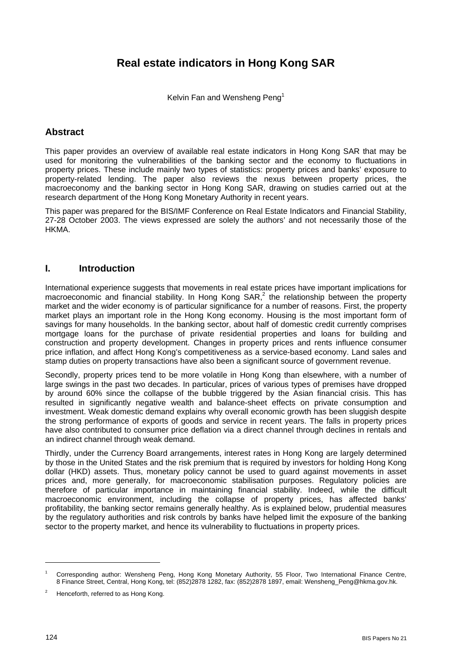Kelvin Fan and Wensheng Peng<sup>1</sup>

# **Abstract**

This paper provides an overview of available real estate indicators in Hong Kong SAR that may be used for monitoring the vulnerabilities of the banking sector and the economy to fluctuations in property prices. These include mainly two types of statistics: property prices and banks' exposure to property-related lending. The paper also reviews the nexus between property prices, the macroeconomy and the banking sector in Hong Kong SAR, drawing on studies carried out at the research department of the Hong Kong Monetary Authority in recent years.

This paper was prepared for the BIS/IMF Conference on Real Estate Indicators and Financial Stability, 27-28 October 2003. The views expressed are solely the authors' and not necessarily those of the HKMA.

# **I. Introduction**

International experience suggests that movements in real estate prices have important implications for macroeconomic and financial stability. In Hong Kong SAR,<sup>2</sup> the relationship between the property market and the wider economy is of particular significance for a number of reasons. First, the property market plays an important role in the Hong Kong economy. Housing is the most important form of savings for many households. In the banking sector, about half of domestic credit currently comprises mortgage loans for the purchase of private residential properties and loans for building and construction and property development. Changes in property prices and rents influence consumer price inflation, and affect Hong Kong's competitiveness as a service-based economy. Land sales and stamp duties on property transactions have also been a significant source of government revenue.

Secondly, property prices tend to be more volatile in Hong Kong than elsewhere, with a number of large swings in the past two decades. In particular, prices of various types of premises have dropped by around 60% since the collapse of the bubble triggered by the Asian financial crisis. This has resulted in significantly negative wealth and balance-sheet effects on private consumption and investment. Weak domestic demand explains why overall economic growth has been sluggish despite the strong performance of exports of goods and service in recent years. The falls in property prices have also contributed to consumer price deflation via a direct channel through declines in rentals and an indirect channel through weak demand.

Thirdly, under the Currency Board arrangements, interest rates in Hong Kong are largely determined by those in the United States and the risk premium that is required by investors for holding Hong Kong dollar (HKD) assets. Thus, monetary policy cannot be used to guard against movements in asset prices and, more generally, for macroeconomic stabilisation purposes. Regulatory policies are therefore of particular importance in maintaining financial stability. Indeed, while the difficult macroeconomic environment, including the collapse of property prices, has affected banks' profitability, the banking sector remains generally healthy. As is explained below, prudential measures by the regulatory authorities and risk controls by banks have helped limit the exposure of the banking sector to the property market, and hence its vulnerability to fluctuations in property prices.

<sup>1</sup> Corresponding author: Wensheng Peng, Hong Kong Monetary Authority, 55 Floor, Two International Finance Centre, 8 Finance Street, Central, Hong Kong, tel: (852)2878 1282, fax: (852)2878 1897, email: Wensheng\_Peng@hkma.gov.hk.

 $\overline{2}$ Henceforth, referred to as Hong Kong.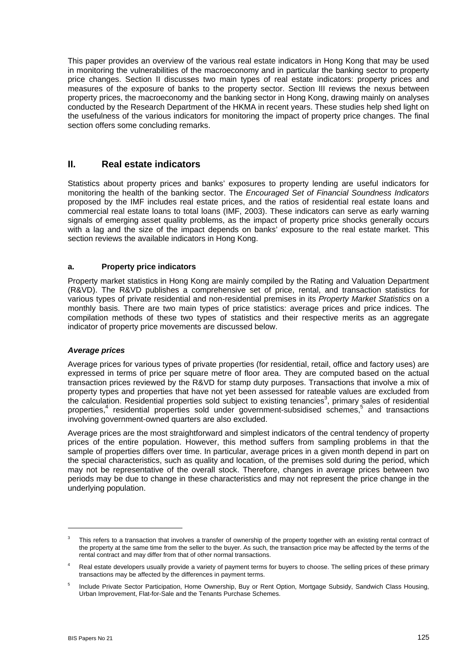This paper provides an overview of the various real estate indicators in Hong Kong that may be used in monitoring the vulnerabilities of the macroeconomy and in particular the banking sector to property price changes. Section II discusses two main types of real estate indicators: property prices and measures of the exposure of banks to the property sector. Section III reviews the nexus between property prices, the macroeconomy and the banking sector in Hong Kong, drawing mainly on analyses conducted by the Research Department of the HKMA in recent years. These studies help shed light on the usefulness of the various indicators for monitoring the impact of property price changes. The final section offers some concluding remarks.

# **II. Real estate indicators**

Statistics about property prices and banks' exposures to property lending are useful indicators for monitoring the health of the banking sector. The *Encouraged Set of Financial Soundness Indicators* proposed by the IMF includes real estate prices, and the ratios of residential real estate loans and commercial real estate loans to total loans (IMF, 2003). These indicators can serve as early warning signals of emerging asset quality problems, as the impact of property price shocks generally occurs with a lag and the size of the impact depends on banks' exposure to the real estate market. This section reviews the available indicators in Hong Kong.

## **a. Property price indicators**

Property market statistics in Hong Kong are mainly compiled by the Rating and Valuation Department (R&VD). The R&VD publishes a comprehensive set of price, rental, and transaction statistics for various types of private residential and non-residential premises in its *Property Market Statistics* on a monthly basis. There are two main types of price statistics: average prices and price indices. The compilation methods of these two types of statistics and their respective merits as an aggregate indicator of property price movements are discussed below.

## *Average prices*

Average prices for various types of private properties (for residential, retail, office and factory uses) are expressed in terms of price per square metre of floor area. They are computed based on the actual transaction prices reviewed by the R&VD for stamp duty purposes. Transactions that involve a mix of property types and properties that have not yet been assessed for rateable values are excluded from the calculation. Residential properties sold subject to existing tenancies<sup>3</sup>, primary sales of residential properties,<sup>4</sup> residential properties sold under government-subsidised schemes,<sup>5</sup> and transactions involving government-owned quarters are also excluded.

Average prices are the most straightforward and simplest indicators of the central tendency of property prices of the entire population. However, this method suffers from sampling problems in that the sample of properties differs over time. In particular, average prices in a given month depend in part on the special characteristics, such as quality and location, of the premises sold during the period, which may not be representative of the overall stock. Therefore, changes in average prices between two periods may be due to change in these characteristics and may not represent the price change in the underlying population.

<sup>3</sup> This refers to a transaction that involves a transfer of ownership of the property together with an existing rental contract of the property at the same time from the seller to the buyer. As such, the transaction price may be affected by the terms of the rental contract and may differ from that of other normal transactions.

<sup>4</sup> Real estate developers usually provide a variety of payment terms for buyers to choose. The selling prices of these primary transactions may be affected by the differences in payment terms.

<sup>5</sup> Include Private Sector Participation, Home Ownership, Buy or Rent Option, Mortgage Subsidy, Sandwich Class Housing, Urban Improvement, Flat-for-Sale and the Tenants Purchase Schemes.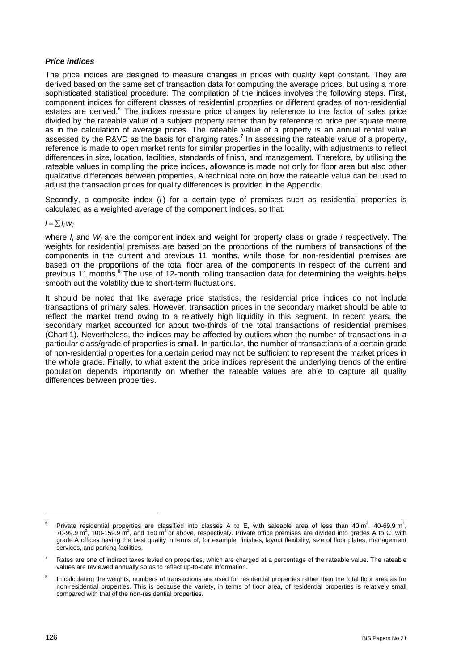## *Price indices*

The price indices are designed to measure changes in prices with quality kept constant. They are derived based on the same set of transaction data for computing the average prices, but using a more sophisticated statistical procedure. The compilation of the indices involves the following steps. First, component indices for different classes of residential properties or different grades of non-residential estates are derived.<sup>6</sup> The indices measure price changes by reference to the factor of sales price divided by the rateable value of a subject property rather than by reference to price per square metre as in the calculation of average prices. The rateable value of a property is an annual rental value assessed by the R&VD as the basis for charging rates.<sup>7</sup> In assessing the rateable value of a property, reference is made to open market rents for similar properties in the locality, with adjustments to reflect differences in size, location, facilities, standards of finish, and management. Therefore, by utilising the rateable values in compiling the price indices, allowance is made not only for floor area but also other qualitative differences between properties. A technical note on how the rateable value can be used to adjust the transaction prices for quality differences is provided in the Appendix.

Secondly, a composite index (*I*) for a certain type of premises such as residential properties is calculated as a weighted average of the component indices, so that:

## $l = \sum l_i w_i$

where *I<sub>i</sub>* and *W<sub>i</sub>* are the component index and weight for property class or grade *i* respectively. The weights for residential premises are based on the proportions of the numbers of transactions of the components in the current and previous 11 months, while those for non-residential premises are based on the proportions of the total floor area of the components in respect of the current and previous 11 months.<sup>8</sup> The use of 12-month rolling transaction data for determining the weights helps smooth out the volatility due to short-term fluctuations.

It should be noted that like average price statistics, the residential price indices do not include transactions of primary sales. However, transaction prices in the secondary market should be able to reflect the market trend owing to a relatively high liquidity in this segment. In recent years, the secondary market accounted for about two-thirds of the total transactions of residential premises (Chart 1). Nevertheless, the indices may be affected by outliers when the number of transactions in a particular class/grade of properties is small. In particular, the number of transactions of a certain grade of non-residential properties for a certain period may not be sufficient to represent the market prices in the whole grade. Finally, to what extent the price indices represent the underlying trends of the entire population depends importantly on whether the rateable values are able to capture all quality differences between properties.

<sup>6</sup> Private residential properties are classified into classes A to E, with saleable area of less than 40  $m^2$ , 40-69.9  $m^2$ , 70-99.9 m<sup>2</sup>, 100-159.9 m<sup>2</sup>, and 160 m<sup>2</sup> or above, respectively. Private office premises are divided into grades A to C, with grade A offices having the best quality in terms of, for example, finishes, layout flexibility, size of floor plates, management services, and parking facilities.

<sup>7</sup> Rates are one of indirect taxes levied on properties, which are charged at a percentage of the rateable value. The rateable values are reviewed annually so as to reflect up-to-date information.

<sup>8</sup> In calculating the weights, numbers of transactions are used for residential properties rather than the total floor area as for non-residential properties. This is because the variety, in terms of floor area, of residential properties is relatively small compared with that of the non-residential properties.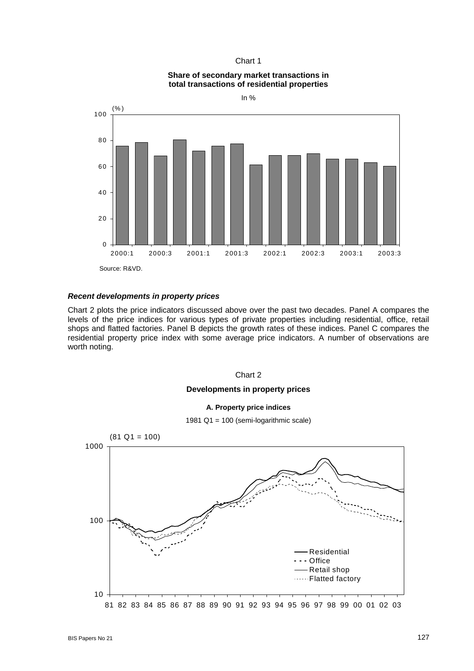### Chart 1





## *Recent developments in property prices*

Chart 2 plots the price indicators discussed above over the past two decades. Panel A compares the levels of the price indices for various types of private properties including residential, office, retail shops and flatted factories. Panel B depicts the growth rates of these indices. Panel C compares the residential property price index with some average price indicators. A number of observations are worth noting.

### Chart 2

## **Developments in property prices**

### **A. Property price indices**

1981 Q1 = 100 (semi-logarithmic scale)

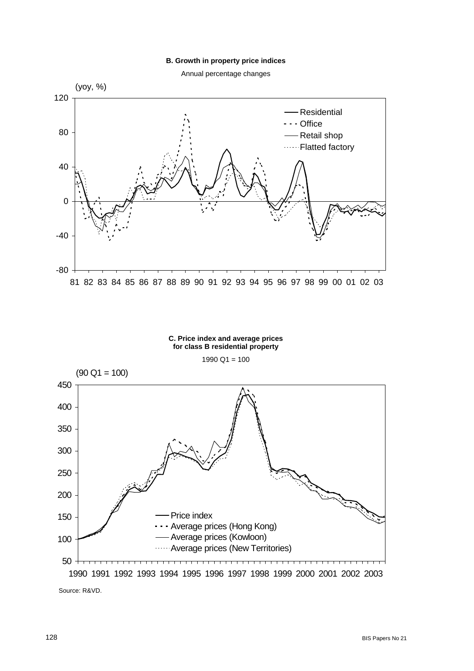### **B. Growth in property price indices**

Annual percentage changes



#### **C. Price index and average prices for class B residential property**

 $1990$  Q1 = 100



Source: R&VD.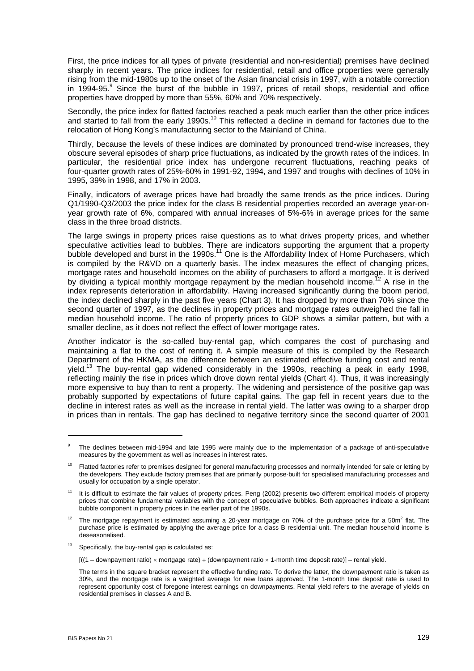First, the price indices for all types of private (residential and non-residential) premises have declined sharply in recent years. The price indices for residential, retail and office properties were generally rising from the mid-1980s up to the onset of the Asian financial crisis in 1997, with a notable correction in 1994-95.<sup>9</sup> Since the burst of the bubble in 1997, prices of retail shops, residential and office properties have dropped by more than 55%, 60% and 70% respectively.

Secondly, the price index for flatted factories reached a peak much earlier than the other price indices and started to fall from the early 1990s.10 This reflected a decline in demand for factories due to the relocation of Hong Kong's manufacturing sector to the Mainland of China.

Thirdly, because the levels of these indices are dominated by pronounced trend-wise increases, they obscure several episodes of sharp price fluctuations, as indicated by the growth rates of the indices. In particular, the residential price index has undergone recurrent fluctuations, reaching peaks of four-quarter growth rates of 25%-60% in 1991-92, 1994, and 1997 and troughs with declines of 10% in 1995, 39% in 1998, and 17% in 2003.

Finally, indicators of average prices have had broadly the same trends as the price indices. During Q1/1990-Q3/2003 the price index for the class B residential properties recorded an average year-onyear growth rate of 6%, compared with annual increases of 5%-6% in average prices for the same class in the three broad districts.

The large swings in property prices raise questions as to what drives property prices, and whether speculative activities lead to bubbles. There are indicators supporting the argument that a property bubble developed and burst in the 1990s.<sup>11</sup> One is the Affordability Index of Home Purchasers, which is compiled by the R&VD on a quarterly basis. The index measures the effect of changing prices, mortgage rates and household incomes on the ability of purchasers to afford a mortgage. It is derived by dividing a typical monthly mortgage repayment by the median household income.<sup>12</sup> A rise in the index represents deterioration in affordability. Having increased significantly during the boom period, the index declined sharply in the past five years (Chart 3). It has dropped by more than 70% since the second quarter of 1997, as the declines in property prices and mortgage rates outweighed the fall in median household income. The ratio of property prices to GDP shows a similar pattern, but with a smaller decline, as it does not reflect the effect of lower mortgage rates.

Another indicator is the so-called buy-rental gap, which compares the cost of purchasing and maintaining a flat to the cost of renting it. A simple measure of this is compiled by the Research Department of the HKMA, as the difference between an estimated effective funding cost and rental vield.<sup>13</sup> The buy-rental gap widened considerably in the 1990s, reaching a peak in early 1998, reflecting mainly the rise in prices which drove down rental yields (Chart 4). Thus, it was increasingly more expensive to buy than to rent a property. The widening and persistence of the positive gap was probably supported by expectations of future capital gains. The gap fell in recent years due to the decline in interest rates as well as the increase in rental yield. The latter was owing to a sharper drop in prices than in rentals. The gap has declined to negative territory since the second quarter of 2001

<sup>9</sup> The declines between mid-1994 and late 1995 were mainly due to the implementation of a package of anti-speculative measures by the government as well as increases in interest rates.

<sup>&</sup>lt;sup>10</sup> Flatted factories refer to premises designed for general manufacturing processes and normally intended for sale or letting by the developers. They exclude factory premises that are primarily purpose-built for specialised manufacturing processes and usually for occupation by a single operator.

<sup>&</sup>lt;sup>11</sup> It is difficult to estimate the fair values of property prices. Peng (2002) presents two different empirical models of property prices that combine fundamental variables with the concept of speculative bubbles. Both approaches indicate a significant bubble component in property prices in the earlier part of the 1990s.

<sup>&</sup>lt;sup>12</sup> The mortgage repayment is estimated assuming a 20-year mortgage on 70% of the purchase price for a 50m<sup>2</sup> flat. The purchase price is estimated by applying the average price for a class B residential unit. The median household income is deseasonalised.

 $13$  Specifically, the buy-rental gap is calculated as:

 $[((1 - downpayment ratio) \times mortgage rate) + (downpayment ratio \times 1-month time deposit rate)] - rental yield.$ 

The terms in the square bracket represent the effective funding rate. To derive the latter, the downpayment ratio is taken as 30%, and the mortgage rate is a weighted average for new loans approved. The 1-month time deposit rate is used to represent opportunity cost of foregone interest earnings on downpayments. Rental yield refers to the average of yields on residential premises in classes A and B.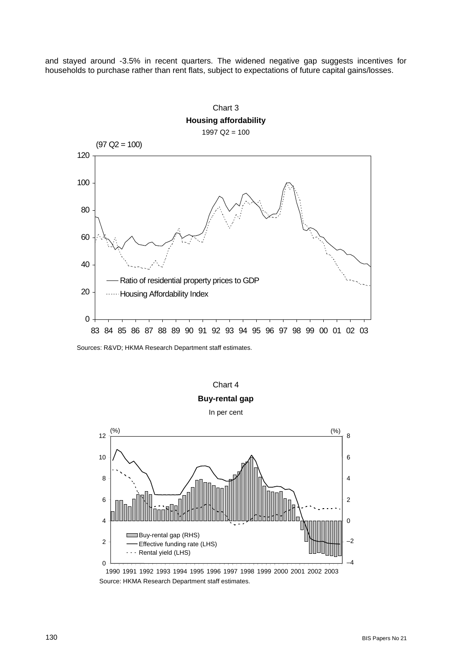and stayed around -3.5% in recent quarters. The widened negative gap suggests incentives for households to purchase rather than rent flats, subject to expectations of future capital gains/losses.



Sources: R&VD; HKMA Research Department staff estimates.



Source: HKMA Research Department staff estimates. 1990 1991 1992 1993 1994 1995 1996 1997 1998 1999 2000 2001 2002 2003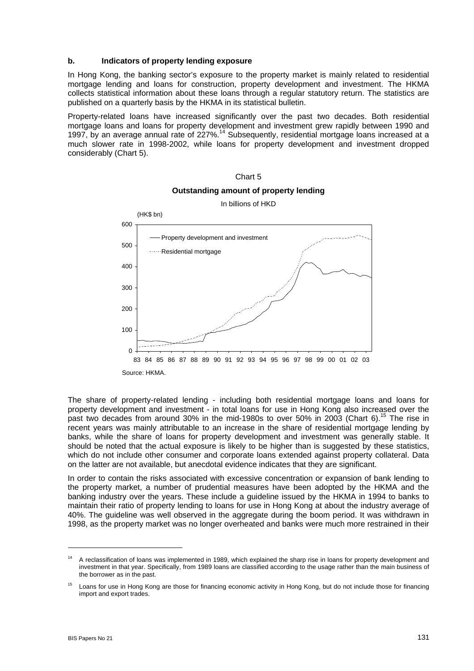## **b. Indicators of property lending exposure**

In Hong Kong, the banking sector's exposure to the property market is mainly related to residential mortgage lending and loans for construction, property development and investment. The HKMA collects statistical information about these loans through a regular statutory return. The statistics are published on a quarterly basis by the HKMA in its statistical bulletin.

Property-related loans have increased significantly over the past two decades. Both residential mortgage loans and loans for property development and investment grew rapidly between 1990 and 1997, by an average annual rate of 227%.14 Subsequently, residential mortgage loans increased at a much slower rate in 1998-2002, while loans for property development and investment dropped considerably (Chart 5).



# Chart 5 **Outstanding amount of property lending**

The share of property-related lending - including both residential mortgage loans and loans for property development and investment - in total loans for use in Hong Kong also increased over the past two decades from around 30% in the mid-1980s to over 50% in 2003 (Chart 6).<sup>15</sup> The rise in recent years was mainly attributable to an increase in the share of residential mortgage lending by banks, while the share of loans for property development and investment was generally stable. It should be noted that the actual exposure is likely to be higher than is suggested by these statistics, which do not include other consumer and corporate loans extended against property collateral. Data on the latter are not available, but anecdotal evidence indicates that they are significant.

In order to contain the risks associated with excessive concentration or expansion of bank lending to the property market, a number of prudential measures have been adopted by the HKMA and the banking industry over the years. These include a guideline issued by the HKMA in 1994 to banks to maintain their ratio of property lending to loans for use in Hong Kong at about the industry average of 40%. The guideline was well observed in the aggregate during the boom period. It was withdrawn in 1998, as the property market was no longer overheated and banks were much more restrained in their

<sup>&</sup>lt;sup>14</sup> A reclassification of loans was implemented in 1989, which explained the sharp rise in loans for property development and investment in that year. Specifically, from 1989 loans are classified according to the usage rather than the main business of the borrower as in the past.

<sup>&</sup>lt;sup>15</sup> Loans for use in Hong Kong are those for financing economic activity in Hong Kong, but do not include those for financing import and export trades.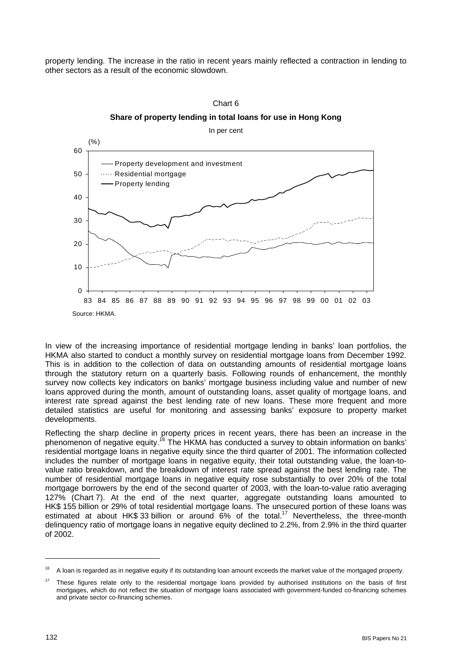property lending. The increase in the ratio in recent years mainly reflected a contraction in lending to other sectors as a result of the economic slowdown.





In view of the increasing importance of residential mortgage lending in banks' loan portfolios, the HKMA also started to conduct a monthly survey on residential mortgage loans from December 1992. This is in addition to the collection of data on outstanding amounts of residential mortgage loans through the statutory return on a quarterly basis. Following rounds of enhancement, the monthly survey now collects key indicators on banks' mortgage business including value and number of new loans approved during the month, amount of outstanding loans, asset quality of mortgage loans, and interest rate spread against the best lending rate of new loans. These more frequent and more detailed statistics are useful for monitoring and assessing banks' exposure to property market developments.

Reflecting the sharp decline in property prices in recent years, there has been an increase in the phenomenon of negative equity.16 The HKMA has conducted a survey to obtain information on banks' residential mortgage loans in negative equity since the third quarter of 2001. The information collected includes the number of mortgage loans in negative equity, their total outstanding value, the loan-tovalue ratio breakdown, and the breakdown of interest rate spread against the best lending rate. The number of residential mortgage loans in negative equity rose substantially to over 20% of the total mortgage borrowers by the end of the second quarter of 2003, with the loan-to-value ratio averaging 127% (Chart 7). At the end of the next quarter, aggregate outstanding loans amounted to HK\$ 155 billion or 29% of total residential mortgage loans. The unsecured portion of these loans was estimated at about HK\$ 33 billion or around  $6\%$  of the total.<sup>17</sup> Nevertheless, the three-month delinquency ratio of mortgage loans in negative equity declined to 2.2%, from 2.9% in the third quarter of 2002.

<sup>&</sup>lt;sup>16</sup> A loan is regarded as in negative equity if its outstanding loan amount exceeds the market value of the mortgaged property.

<sup>&</sup>lt;sup>17</sup> These figures relate only to the residential mortgage loans provided by authorised institutions on the basis of first mortgages, which do not reflect the situation of mortgage loans associated with government-funded co-financing schemes and private sector co-financing schemes.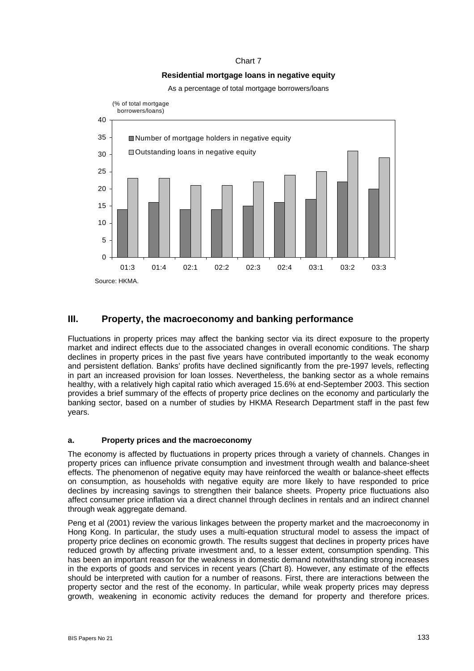## Chart 7

## **Residential mortgage loans in negative equity**

As a percentage of total mortgage borrowers/loans



## **III. Property, the macroeconomy and banking performance**

Fluctuations in property prices may affect the banking sector via its direct exposure to the property market and indirect effects due to the associated changes in overall economic conditions. The sharp declines in property prices in the past five years have contributed importantly to the weak economy and persistent deflation. Banks' profits have declined significantly from the pre-1997 levels, reflecting in part an increased provision for loan losses. Nevertheless, the banking sector as a whole remains healthy, with a relatively high capital ratio which averaged 15.6% at end-September 2003. This section provides a brief summary of the effects of property price declines on the economy and particularly the banking sector, based on a number of studies by HKMA Research Department staff in the past few years.

## **a. Property prices and the macroeconomy**

The economy is affected by fluctuations in property prices through a variety of channels. Changes in property prices can influence private consumption and investment through wealth and balance-sheet effects. The phenomenon of negative equity may have reinforced the wealth or balance-sheet effects on consumption, as households with negative equity are more likely to have responded to price declines by increasing savings to strengthen their balance sheets. Property price fluctuations also affect consumer price inflation via a direct channel through declines in rentals and an indirect channel through weak aggregate demand.

Peng et al (2001) review the various linkages between the property market and the macroeconomy in Hong Kong. In particular, the study uses a multi-equation structural model to assess the impact of property price declines on economic growth. The results suggest that declines in property prices have reduced growth by affecting private investment and, to a lesser extent, consumption spending. This has been an important reason for the weakness in domestic demand notwithstanding strong increases in the exports of goods and services in recent years (Chart 8). However, any estimate of the effects should be interpreted with caution for a number of reasons. First, there are interactions between the property sector and the rest of the economy. In particular, while weak property prices may depress growth, weakening in economic activity reduces the demand for property and therefore prices.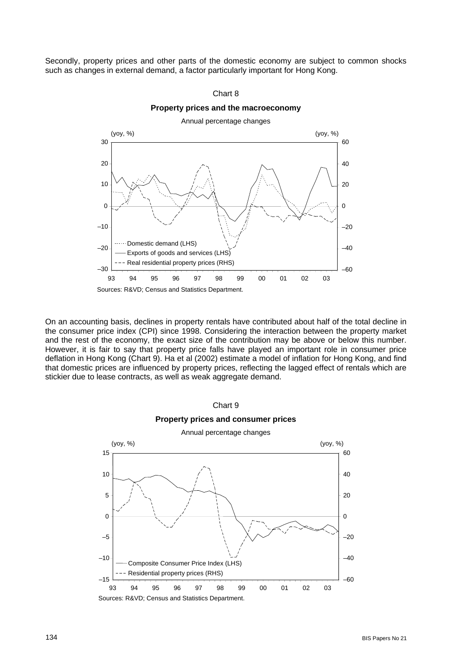Secondly, property prices and other parts of the domestic economy are subject to common shocks such as changes in external demand, a factor particularly important for Hong Kong.





On an accounting basis, declines in property rentals have contributed about half of the total decline in the consumer price index (CPI) since 1998. Considering the interaction between the property market and the rest of the economy, the exact size of the contribution may be above or below this number. However, it is fair to say that property price falls have played an important role in consumer price deflation in Hong Kong (Chart 9). Ha et al (2002) estimate a model of inflation for Hong Kong, and find that domestic prices are influenced by property prices, reflecting the lagged effect of rentals which are stickier due to lease contracts, as well as weak aggregate demand.

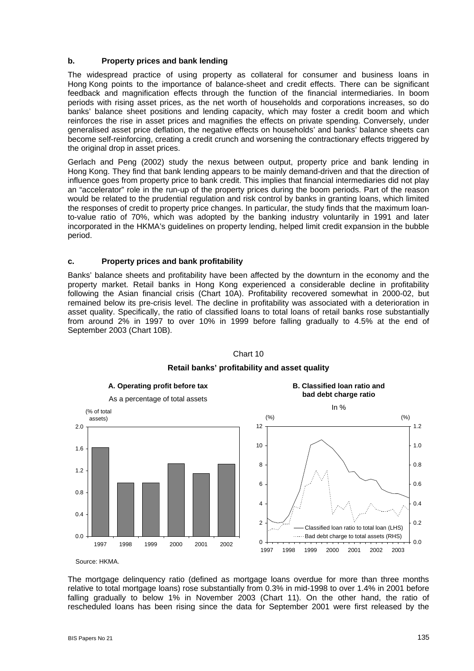## **b. Property prices and bank lending**

The widespread practice of using property as collateral for consumer and business loans in Hong Kong points to the importance of balance-sheet and credit effects. There can be significant feedback and magnification effects through the function of the financial intermediaries. In boom periods with rising asset prices, as the net worth of households and corporations increases, so do banks' balance sheet positions and lending capacity, which may foster a credit boom and which reinforces the rise in asset prices and magnifies the effects on private spending. Conversely, under generalised asset price deflation, the negative effects on households' and banks' balance sheets can become self-reinforcing, creating a credit crunch and worsening the contractionary effects triggered by the original drop in asset prices.

Gerlach and Peng (2002) study the nexus between output, property price and bank lending in Hong Kong. They find that bank lending appears to be mainly demand-driven and that the direction of influence goes from property price to bank credit. This implies that financial intermediaries did not play an "accelerator" role in the run-up of the property prices during the boom periods. Part of the reason would be related to the prudential regulation and risk control by banks in granting loans, which limited the responses of credit to property price changes. In particular, the study finds that the maximum loanto-value ratio of 70%, which was adopted by the banking industry voluntarily in 1991 and later incorporated in the HKMA's guidelines on property lending, helped limit credit expansion in the bubble period.

## **c. Property prices and bank profitability**

Banks' balance sheets and profitability have been affected by the downturn in the economy and the property market. Retail banks in Hong Kong experienced a considerable decline in profitability following the Asian financial crisis (Chart 10A). Profitability recovered somewhat in 2000-02, but remained below its pre-crisis level. The decline in profitability was associated with a deterioration in asset quality. Specifically, the ratio of classified loans to total loans of retail banks rose substantially from around 2% in 1997 to over 10% in 1999 before falling gradually to 4.5% at the end of September 2003 (Chart 10B).



Chart 10

**Retail banks' profitability and asset quality** 

Source: HKMA.

The mortgage delinquency ratio (defined as mortgage loans overdue for more than three months relative to total mortgage loans) rose substantially from 0.3% in mid-1998 to over 1.4% in 2001 before falling gradually to below 1% in November 2003 (Chart 11). On the other hand, the ratio of rescheduled loans has been rising since the data for September 2001 were first released by the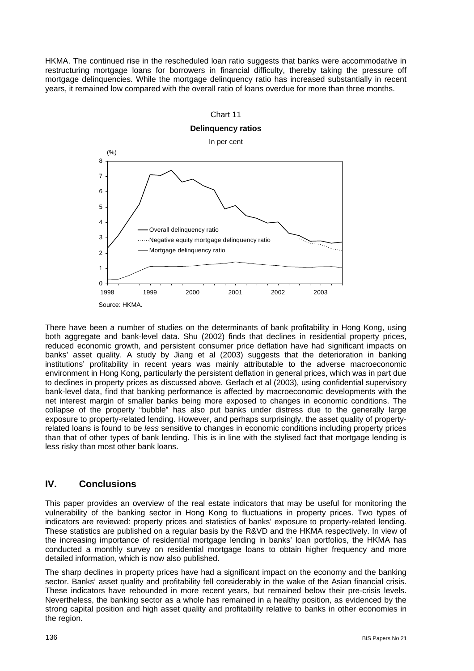HKMA. The continued rise in the rescheduled loan ratio suggests that banks were accommodative in restructuring mortgage loans for borrowers in financial difficulty, thereby taking the pressure off mortgage delinquencies. While the mortgage delinquency ratio has increased substantially in recent years, it remained low compared with the overall ratio of loans overdue for more than three months.



There have been a number of studies on the determinants of bank profitability in Hong Kong, using both aggregate and bank-level data. Shu (2002) finds that declines in residential property prices, reduced economic growth, and persistent consumer price deflation have had significant impacts on banks' asset quality. A study by Jiang et al (2003) suggests that the deterioration in banking institutions' profitability in recent years was mainly attributable to the adverse macroeconomic environment in Hong Kong, particularly the persistent deflation in general prices, which was in part due to declines in property prices as discussed above. Gerlach et al (2003), using confidential supervisory bank-level data, find that banking performance is affected by macroeconomic developments with the net interest margin of smaller banks being more exposed to changes in economic conditions. The collapse of the property "bubble" has also put banks under distress due to the generally large exposure to property-related lending. However, and perhaps surprisingly, the asset quality of propertyrelated loans is found to be *less* sensitive to changes in economic conditions including property prices than that of other types of bank lending. This is in line with the stylised fact that mortgage lending is less risky than most other bank loans.

# **IV. Conclusions**

This paper provides an overview of the real estate indicators that may be useful for monitoring the vulnerability of the banking sector in Hong Kong to fluctuations in property prices. Two types of indicators are reviewed: property prices and statistics of banks' exposure to property-related lending. These statistics are published on a regular basis by the R&VD and the HKMA respectively. In view of the increasing importance of residential mortgage lending in banks' loan portfolios, the HKMA has conducted a monthly survey on residential mortgage loans to obtain higher frequency and more detailed information, which is now also published.

The sharp declines in property prices have had a significant impact on the economy and the banking sector. Banks' asset quality and profitability fell considerably in the wake of the Asian financial crisis. These indicators have rebounded in more recent years, but remained below their pre-crisis levels. Nevertheless, the banking sector as a whole has remained in a healthy position, as evidenced by the strong capital position and high asset quality and profitability relative to banks in other economies in the region.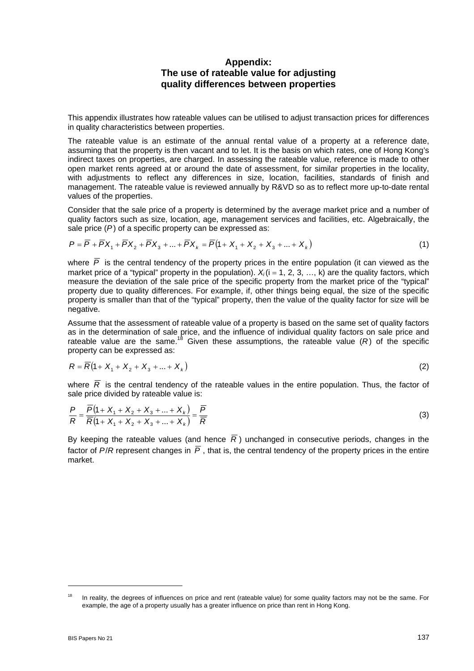# **Appendix: The use of rateable value for adjusting quality differences between properties**

This appendix illustrates how rateable values can be utilised to adjust transaction prices for differences in quality characteristics between properties.

The rateable value is an estimate of the annual rental value of a property at a reference date, assuming that the property is then vacant and to let. It is the basis on which rates, one of Hong Kong's indirect taxes on properties, are charged. In assessing the rateable value, reference is made to other open market rents agreed at or around the date of assessment, for similar properties in the locality, with adjustments to reflect any differences in size, location, facilities, standards of finish and management. The rateable value is reviewed annually by R&VD so as to reflect more up-to-date rental values of the properties.

Consider that the sale price of a property is determined by the average market price and a number of quality factors such as size, location, age, management services and facilities, etc. Algebraically, the sale price (*P*) of a specific property can be expressed as:

$$
P = \overline{P} + \overline{P}X_1 + \overline{P}X_2 + \overline{P}X_3 + ... + \overline{P}X_k = \overline{P}(1 + X_1 + X_2 + X_3 + ... + X_k)
$$
(1)

where  $\overline{P}$  is the central tendency of the property prices in the entire population (it can viewed as the market price of a "typical" property in the population).  $X_i(i = 1, 2, 3, ..., k)$  are the quality factors, which measure the deviation of the sale price of the specific property from the market price of the "typical" property due to quality differences. For example, if, other things being equal, the size of the specific property is smaller than that of the "typical" property, then the value of the quality factor for size will be negative.

Assume that the assessment of rateable value of a property is based on the same set of quality factors as in the determination of sale price, and the influence of individual quality factors on sale price and rateable value are the same.<sup>18</sup> Given these assumptions, the rateable value  $(R)$  of the specific property can be expressed as:

$$
R = \overline{R}(1 + X_1 + X_2 + X_3 + ... + X_k)
$$
 (2)

where  $\overline{R}$  is the central tendency of the rateable values in the entire population. Thus, the factor of sale price divided by rateable value is:

$$
\frac{P}{R} = \frac{\overline{P}(1 + X_1 + X_2 + X_3 + \dots + X_k)}{\overline{R}(1 + X_1 + X_2 + X_3 + \dots + X_k)} = \frac{\overline{P}}{\overline{R}}
$$
\n(3)

By keeping the rateable values (and hence  $\overline{R}$ ) unchanged in consecutive periods, changes in the factor of  $P/R$  represent changes in  $\overline{P}$ , that is, the central tendency of the property prices in the entire market.

<sup>&</sup>lt;sup>18</sup> In reality, the degrees of influences on price and rent (rateable value) for some quality factors may not be the same. For example, the age of a property usually has a greater influence on price than rent in Hong Kong.